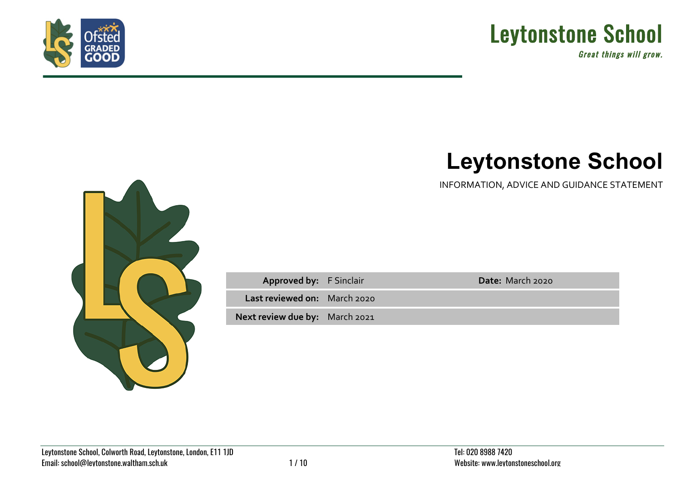



Great things will grow.

## **Leytonstone School**

INFORMATION, ADVICE AND GUIDANCE STATEMENT



| <b>Approved by: F Sinclair</b> | Date: March 2020 |
|--------------------------------|------------------|
| Last reviewed on: March 2020   |                  |
| Next review due by: March 2021 |                  |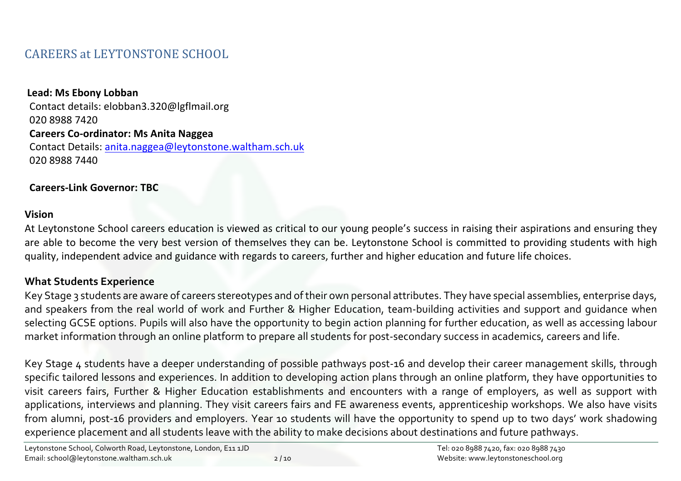## CAREERS at LEYTONSTONE SCHOOL

## Lead: Ms Ebony Lobban Contact details: elobban3.320@lgflmail.org 020 8988 7420 **Careers Co-ordinator: Ms Anita Naggea** Contact Details: anita.naggea@leytonstone.waltham.sch.uk 020 8988 7440

## **Careers-Link Governor: TBC**

## **Vision**

At Leytonstone School careers education is viewed as critical to our young people's success in raising their aspirations and ensuring they are able to become the very best version of themselves they can be. Leytonstone School is committed to providing students with high quality, independent advice and guidance with regards to careers, further and higher education and future life choices.

## **What Students Experience**

Key Stage 3 students are aware of careers stereotypes and of their own personal attributes. They have special assemblies, enterprise days, and speakers from the real world of work and Further & Higher Education, team-building activities and support and guidance when selecting GCSE options. Pupils will also have the opportunity to begin action planning for further education, as well as accessing labour market information through an online platform to prepare all students for post-secondary success in academics, careers and life.

Key Stage 4 students have a deeper understanding of possible pathways post-16 and develop their career management skills, through specific tailored lessons and experiences. In addition to developing action plans through an online platform, they have opportunities to visit careers fairs, Further & Higher Education establishments and encounters with a range of employers, as well as support with applications, interviews and planning. They visit careers fairs and FE awareness events, apprenticeship workshops. We also have visits from alumni, post-16 providers and employers. Year 10 students will have the opportunity to spend up to two days' work shadowing experience placement and all students leave with the ability to make decisions about destinations and future pathways.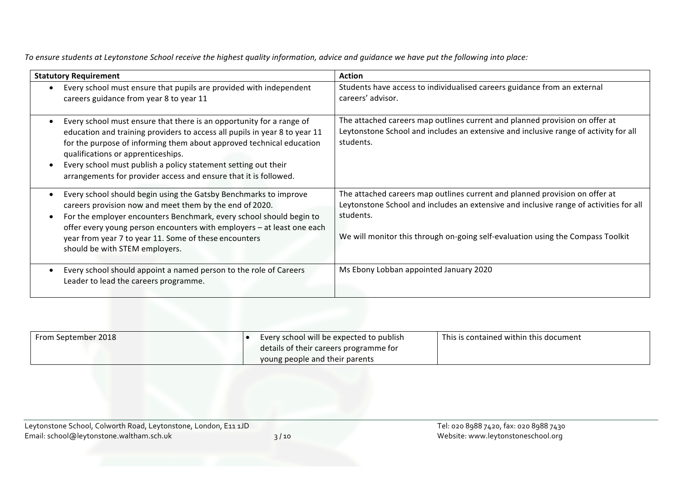To ensure students at Leytonstone School receive the highest quality information, advice and guidance we have put the following into place:

| <b>Statutory Requirement</b>                                                                                                                                                                                                                                                                                                                                                                           | <b>Action</b>                                                                                                                                                                                                                                                         |
|--------------------------------------------------------------------------------------------------------------------------------------------------------------------------------------------------------------------------------------------------------------------------------------------------------------------------------------------------------------------------------------------------------|-----------------------------------------------------------------------------------------------------------------------------------------------------------------------------------------------------------------------------------------------------------------------|
| Every school must ensure that pupils are provided with independent<br>careers guidance from year 8 to year 11                                                                                                                                                                                                                                                                                          | Students have access to individualised careers guidance from an external<br>careers' advisor.                                                                                                                                                                         |
| Every school must ensure that there is an opportunity for a range of<br>education and training providers to access all pupils in year 8 to year 11<br>for the purpose of informing them about approved technical education<br>qualifications or apprenticeships.<br>Every school must publish a policy statement setting out their<br>arrangements for provider access and ensure that it is followed. | The attached careers map outlines current and planned provision on offer at<br>Leytonstone School and includes an extensive and inclusive range of activity for all<br>students.                                                                                      |
| Every school should begin using the Gatsby Benchmarks to improve<br>careers provision now and meet them by the end of 2020.<br>For the employer encounters Benchmark, every school should begin to<br>offer every young person encounters with employers - at least one each<br>year from year 7 to year 11. Some of these encounters<br>should be with STEM employers.                                | The attached careers map outlines current and planned provision on offer at<br>Leytonstone School and includes an extensive and inclusive range of activities for all<br>students.<br>We will monitor this through on-going self-evaluation using the Compass Toolkit |
| Every school should appoint a named person to the role of Careers<br>Leader to lead the careers programme.                                                                                                                                                                                                                                                                                             | Ms Ebony Lobban appointed January 2020                                                                                                                                                                                                                                |

| From September 2018 | Every school will be expected to publish<br>details of their careers programme for | This is contained within this document |
|---------------------|------------------------------------------------------------------------------------|----------------------------------------|
|                     | young people and their parents                                                     |                                        |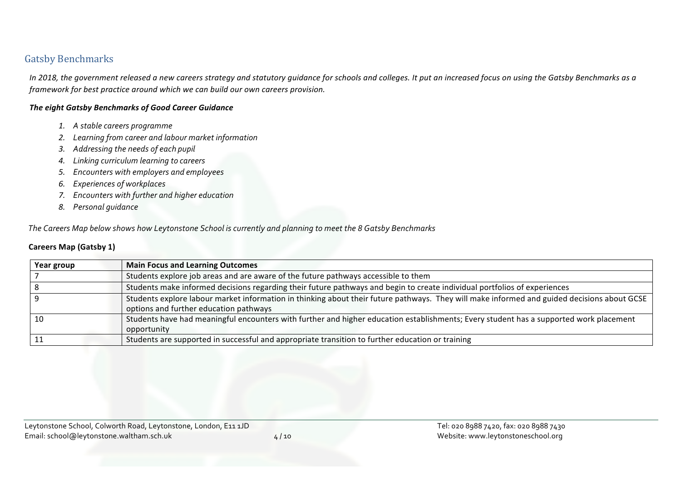## **Gatsby Benchmarks**

In 2018, the government released a new careers strategy and statutory guidance for schools and colleges. It put an increased focus on using the Gatsby Benchmarks as a *framework for best practice around which we can build our own careers provision.* 

#### **The eight Gatsby Benchmarks of Good Career Guidance**

- *1. A stable careers programme*
- *2. Learning from career and labour market information*
- *3. Addressing the needs of each pupil*
- *4. Linking curriculum learning to careers*
- *5. Encounters with employers and employees*
- *6. Experiences of workplaces*
- *7. Encounters with further and higher education*
- *8. Personal guidance*

 *The Careers Map below shows how Leytonstone School is currently and planning to meet the 8 Gatsby Benchmarks*

#### **Careers Map (Gatsby 1)**

| Year group | <b>Main Focus and Learning Outcomes</b>                                                                                                                                               |
|------------|---------------------------------------------------------------------------------------------------------------------------------------------------------------------------------------|
|            | Students explore job areas and are aware of the future pathways accessible to them                                                                                                    |
|            | Students make informed decisions regarding their future pathways and begin to create individual portfolios of experiences                                                             |
|            | Students explore labour market information in thinking about their future pathways. They will make informed and guided decisions about GCSE<br>options and further education pathways |
| 10         | Students have had meaningful encounters with further and higher education establishments; Every student has a supported work placement<br>opportunity                                 |
|            | Students are supported in successful and appropriate transition to further education or training                                                                                      |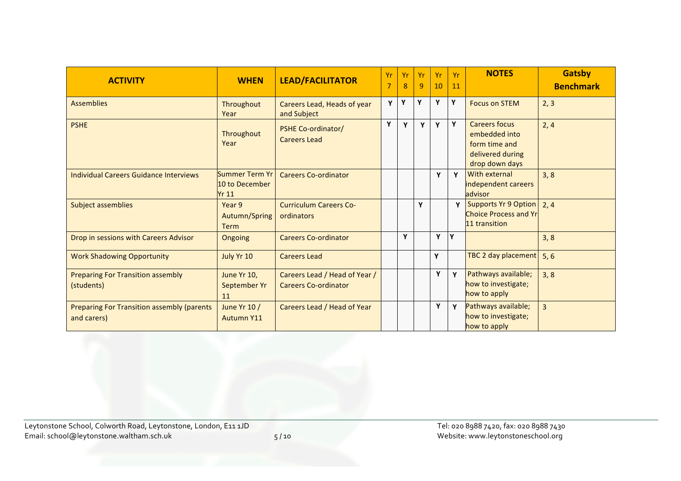| <b>ACTIVITY</b>                                                  | <b>WHEN</b>                                      | <b>LEAD/FACILITATOR</b>                                      | <b>Yr</b><br>7 | Yr<br>8 | Yr<br>9 | Yr<br>10 | Yr<br>11 | <b>NOTES</b>                                                                                 | <b>Gatsby</b><br><b>Benchmark</b> |
|------------------------------------------------------------------|--------------------------------------------------|--------------------------------------------------------------|----------------|---------|---------|----------|----------|----------------------------------------------------------------------------------------------|-----------------------------------|
| <b>Assemblies</b>                                                | Throughout<br>Year                               | Careers Lead, Heads of year<br>and Subject                   | Y              | Y       | Y       | Y        | Y        | <b>Focus on STEM</b>                                                                         | 2, 3                              |
| <b>PSHE</b>                                                      | Throughout<br>Year                               | <b>PSHE Co-ordinator/</b><br><b>Careers Lead</b>             | Y              | Y       | Y       | Y        | Y        | <b>Careers focus</b><br>embedded into<br>form time and<br>delivered during<br>drop down days | 2, 4                              |
| Individual Careers Guidance Interviews                           | Summer Term Yr<br>10 to December<br><b>Yr 11</b> | <b>Careers Co-ordinator</b>                                  |                |         |         | Y        | Y        | With external<br>independent careers<br>advisor                                              | 3, 8                              |
| <b>Subject assemblies</b>                                        | Year 9<br>Autumn/Spring<br><b>Term</b>           | <b>Curriculum Careers Co-</b><br>ordinators                  |                |         | Y       |          |          | Supports Yr 9 Option<br><b>Choice Process and Yr</b><br>11 transition                        | 2, 4                              |
| Drop in sessions with Careers Advisor                            | <b>Ongoing</b>                                   | <b>Careers Co-ordinator</b>                                  |                | Y       |         | Y        | Y        |                                                                                              | 3, 8                              |
| <b>Work Shadowing Opportunity</b>                                | July Yr 10                                       | <b>Careers Lead</b>                                          |                |         |         | Y        |          | TBC 2 day placement                                                                          | 5, 6                              |
| <b>Preparing For Transition assembly</b><br>(students)           | June Yr 10,<br>September Yr<br>11                | Careers Lead / Head of Year /<br><b>Careers Co-ordinator</b> |                |         |         | Y        | Y        | Pathways available;<br>how to investigate;<br>how to apply                                   | 3, 8                              |
| <b>Preparing For Transition assembly (parents</b><br>and carers) | June Yr 10 /<br><b>Autumn Y11</b>                | Careers Lead / Head of Year                                  |                |         |         | Y        | Y        | Pathways available;<br>how to investigate;<br>how to apply                                   | $\overline{3}$                    |

Leytonstone School, Colworth Road, Leytonstone, London, E11 1JD Tel: 020 8988 7420, fax: 020 8988 7430 Email: school@leytonstone.waltham.sch.uk 5 / 10 Website: www.leytonstoneschool.org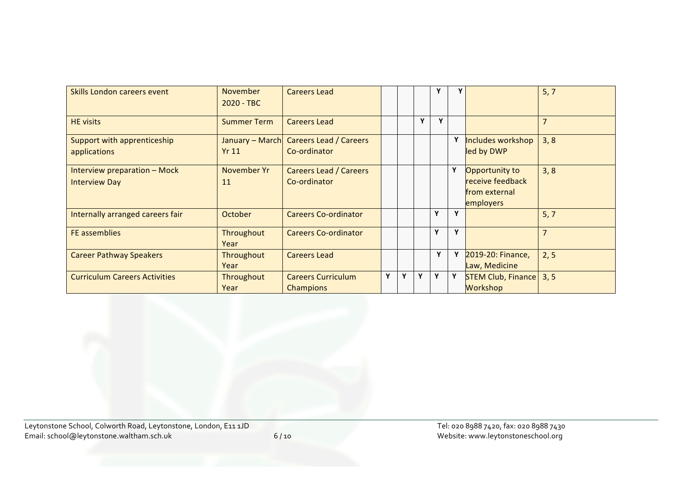| Skills London careers event                          | <b>November</b><br>2020 - TBC | <b>Careers Lead</b>                           |   |   |   |   |             |                                                                  | 5, 7           |
|------------------------------------------------------|-------------------------------|-----------------------------------------------|---|---|---|---|-------------|------------------------------------------------------------------|----------------|
| <b>HE</b> visits                                     | <b>Summer Term</b>            | <b>Careers Lead</b>                           |   |   | Y | Υ |             |                                                                  | $\overline{7}$ |
| Support with apprenticeship<br>applications          | January - March<br>Yr11       | <b>Careers Lead / Careers</b><br>Co-ordinator |   |   |   |   |             | Includes workshop<br>led by DWP                                  | 3, 8           |
| Interview preparation - Mock<br><b>Interview Day</b> | November Yr<br>11             | <b>Careers Lead / Careers</b><br>Co-ordinator |   |   |   |   |             | Opportunity to<br>receive feedback<br>from external<br>employers | 3, 8           |
| Internally arranged careers fair                     | October                       | <b>Careers Co-ordinator</b>                   |   |   |   | Y | $\mathbf v$ |                                                                  | 5, 7           |
| <b>FE</b> assemblies                                 | Throughout<br>Year            | <b>Careers Co-ordinator</b>                   |   |   |   | Y | $\mathbf v$ |                                                                  | $\overline{7}$ |
| <b>Career Pathway Speakers</b>                       | Throughout<br>Year            | <b>Careers Lead</b>                           |   |   |   | Y |             | 2019-20: Finance,<br>Law, Medicine                               | 2, 5           |
| <b>Curriculum Careers Activities</b>                 | Throughout<br>Year            | <b>Careers Curriculum</b><br>Champions        | Υ | Υ | Y | Y |             | <b>STEM Club, Finance</b><br>Workshop                            | 3, 5           |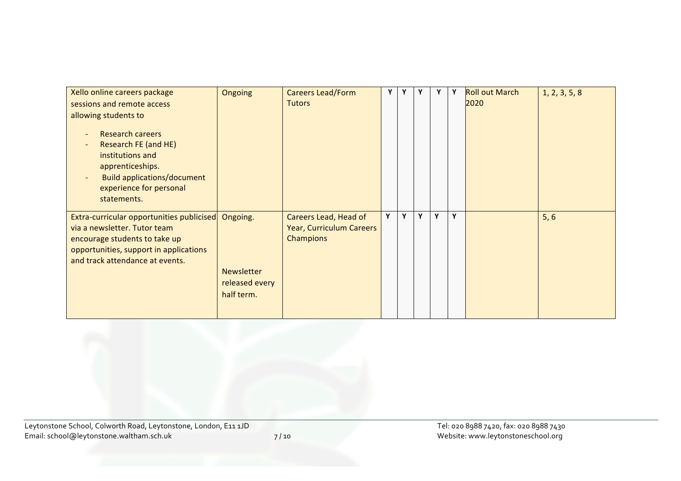| Xello online careers package<br>sessions and remote access<br>allowing students to<br><b>Research careers</b><br>Research FE (and HE)<br>institutions and<br>apprenticeships.<br><b>Build applications/document</b><br>experience for personal<br>statements. | Ongoing                                                       | <b>Careers Lead/Form</b><br><b>Tutors</b>                      | Y | Υ | Y | Υ | Υ | <b>Roll out March</b><br>2020 | 1, 2, 3, 5, 8 |
|---------------------------------------------------------------------------------------------------------------------------------------------------------------------------------------------------------------------------------------------------------------|---------------------------------------------------------------|----------------------------------------------------------------|---|---|---|---|---|-------------------------------|---------------|
| Extra-curricular opportunities publicised<br>via a newsletter. Tutor team<br>encourage students to take up<br>opportunities, support in applications<br>and track attendance at events.                                                                       | Ongoing.<br><b>Newsletter</b><br>released every<br>half term. | Careers Lead, Head of<br>Year, Curriculum Careers<br>Champions | Y | Y | Y | Y | Y |                               | 5, 6          |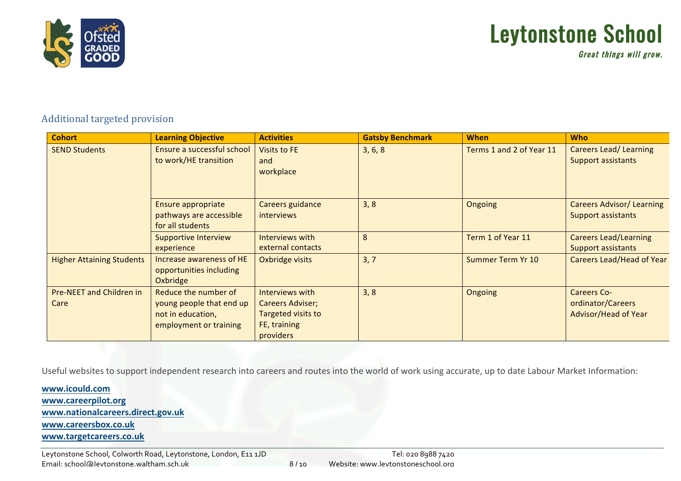

# Leytonstone School

Great things will grow.

## Additional targeted provision

| <b>Cohort</b>                           | <b>Learning Objective</b>                                                                       | <b>Activities</b>                                                                             | <b>Gatsby Benchmark</b> | <b>When</b>              | <b>Who</b>                                                      |
|-----------------------------------------|-------------------------------------------------------------------------------------------------|-----------------------------------------------------------------------------------------------|-------------------------|--------------------------|-----------------------------------------------------------------|
| <b>SEND Students</b>                    | Ensure a successful school<br>to work/HE transition                                             | <b>Visits to FE</b><br>and<br>workplace                                                       | 3, 6, 8                 | Terms 1 and 2 of Year 11 | <b>Careers Lead/ Learning</b><br><b>Support assistants</b>      |
|                                         | Ensure appropriate<br>pathways are accessible<br>for all students                               | Careers guidance<br><i>interviews</i>                                                         | 3, 8                    | Ongoing                  | <b>Careers Advisor/ Learning</b><br><b>Support assistants</b>   |
|                                         | <b>Supportive Interview</b><br>experience                                                       | Interviews with<br>external contacts                                                          | 8                       | Term 1 of Year 11        | <b>Careers Lead/Learning</b><br><b>Support assistants</b>       |
| <b>Higher Attaining Students</b>        | Increase awareness of HE<br>opportunities including<br>Oxbridge                                 | Oxbridge visits                                                                               | 3, 7                    | Summer Term Yr 10        | <b>Careers Lead/Head of Year</b>                                |
| <b>Pre-NEET and Children in</b><br>Care | Reduce the number of<br>young people that end up<br>not in education,<br>employment or training | Interviews with<br><b>Careers Adviser;</b><br>Targeted visits to<br>FE, training<br>providers | 3, 8                    | Ongoing                  | <b>Careers Co-</b><br>ordinator/Careers<br>Advisor/Head of Year |

Useful websites to support independent research into careers and routes into the world of work using accurate, up to date Labour Market Information:

**www.icould.com www.careerpilot.org www.nationalcareers.direct.gov.uk www.careersbox.co.uk www.targetcareers.co.uk**

Leytonstone School, Colworth Road, Leytonstone, London, E11 1JD Laytonstone Buildings and Patrick Sedan Tel: 020 8988 7420 Email: school@leytonstone.waltham.sch.uk 8 / 10 Website: www.leytonstoneschool.org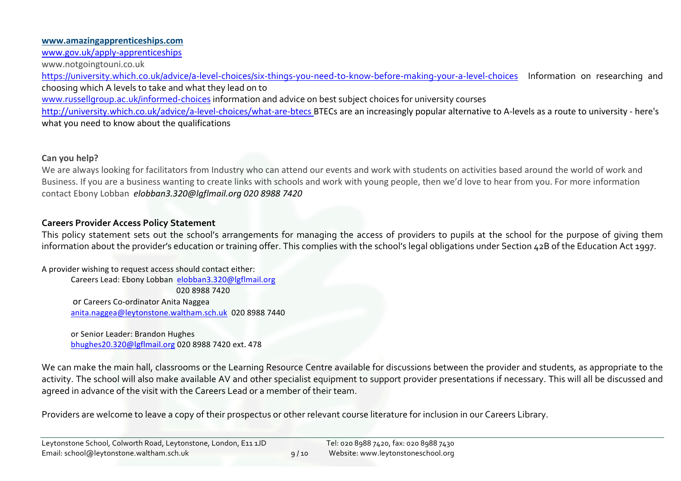#### **www.amazingapprenticeships.com**

www.gov.uk/apply-apprenticeships

www.notgoingtouni.co.uk

https://university.which.co.uk/advice/a-level-choices/six-things-you-need-to-know-before-making-your-a-level-choices Information on researching and choosing which A levels to take and what they lead on to

www.russellgroup.ac.uk/informed-choices information and advice on best subject choices for university courses

http://university.which.co.uk/advice/a-level-choices/what-are-btecs BTECs are an increasingly popular alternative to A-levels as a route to university - here's what you need to know about the qualifications

## **Can you help?**

We are always looking for facilitators from Industry who can attend our events and work with students on activities based around the world of work and Business. If you are a business wanting to create links with schools and work with young people, then we'd love to hear from you. For more information contact Ebony Lobban *elobban3.320@lgflmail.org 020 8988 7420*

## **Careers Provider Access Policy Statement**

This policy statement sets out the school's arrangements for managing the access of providers to pupils at the school for the purpose of giving them information about the provider's education or training offer. This complies with the school's legal obligations under Section 42B of the Education Act 1997.

A provider wishing to request access should contact either: Careers Lead: Ebony Lobban elobban3.320@lgflmail.org 020 8988 7420 or Careers Co-ordinator Anita Naggea anita.naggea@leytonstone.waltham.sch.uk 020 8988 7440

> or Senior Leader: Brandon Hughes bhughes20.320@lgflmail.org 020 8988 7420 ext. 478

We can make the main hall, classrooms or the Learning Resource Centre available for discussions between the provider and students, as appropriate to the activity. The school will also make available AV and other specialist equipment to support provider presentations if necessary. This will all be discussed and agreed in advance of the visit with the Careers Lead or a member of their team.

Providers are welcome to leave a copy of their prospectus or other relevant course literature for inclusion in our Careers Library.